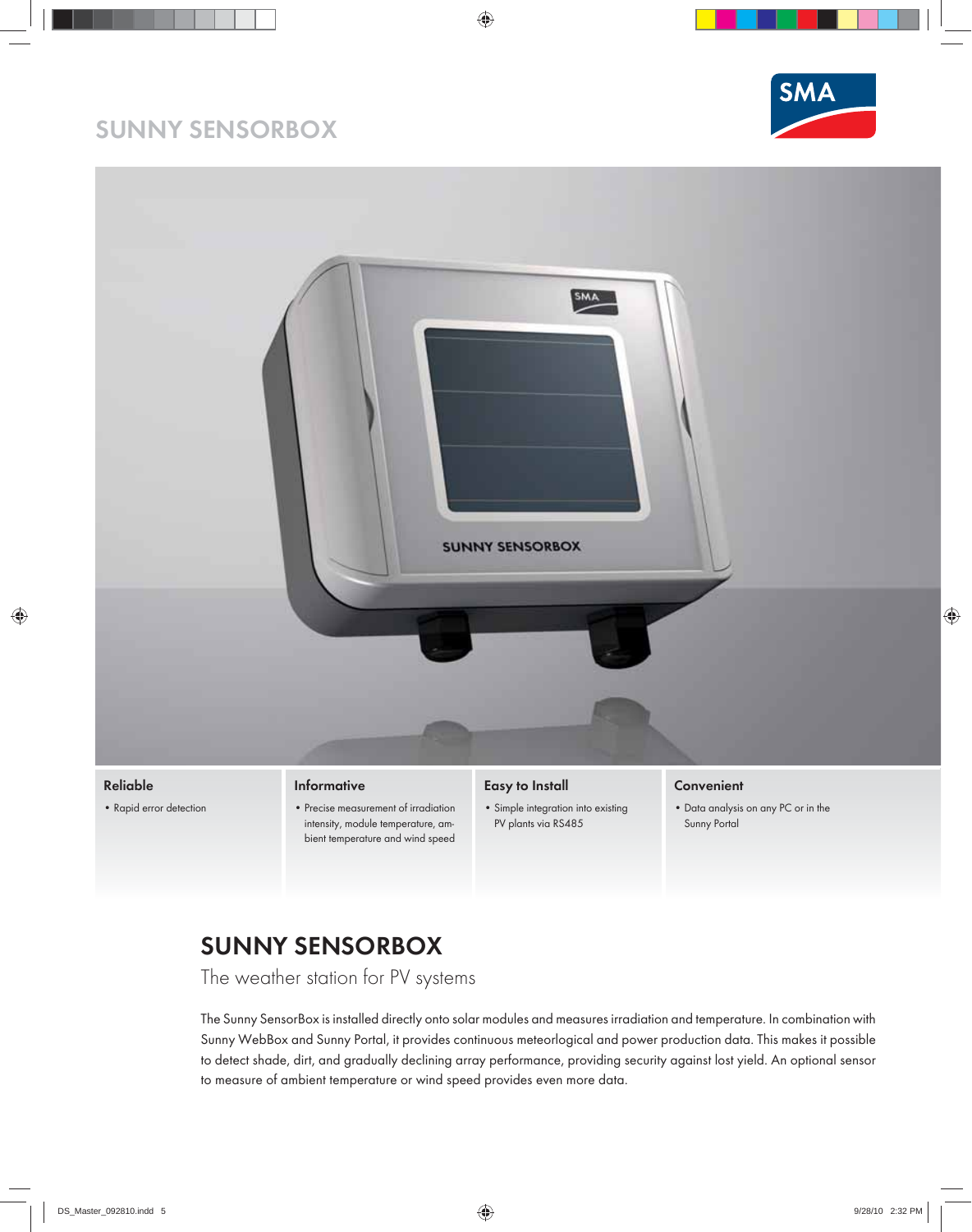## **SUNNY SENSORBOX**





- intensity, module temperature, ambient temperature and wind speed
- PV plants via RS485
- Sunny Portal

## **SUNNY SENSORBOX**

The weather station for PV systems

The Sunny SensorBox is installed directly onto solar modules and measures irradiation and temperature. In combination with Sunny WebBox and Sunny Portal, it provides continuous meteorlogical and power production data. This makes it possible to detect shade, dirt, and gradually declining array performance, providing security against lost yield. An optional sensor to measure of ambient temperature or wind speed provides even more data.